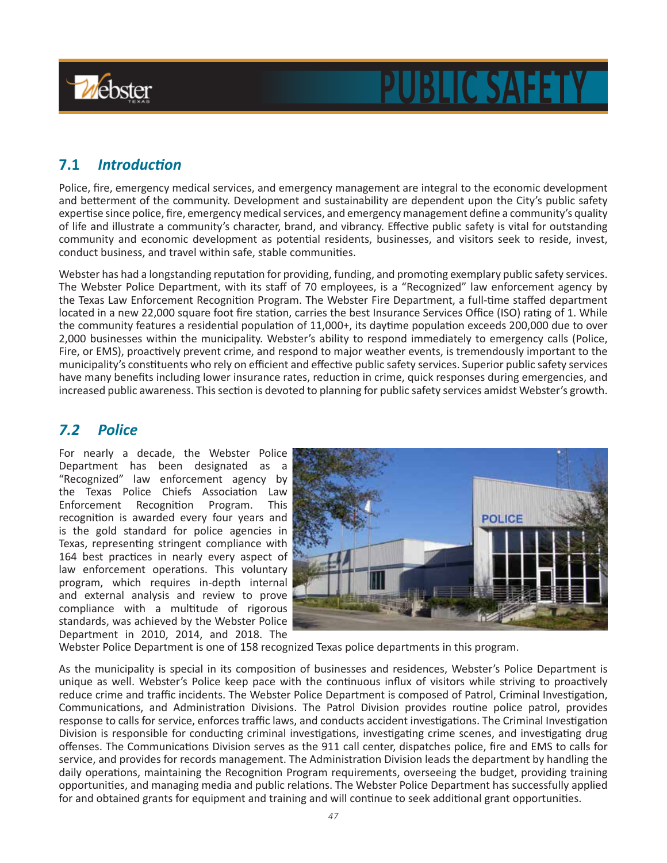

# **PUBLIC SAFET**

# **7.1** *Introduction*

Police, fire, emergency medical services, and emergency management are integral to the economic development and betterment of the community. Development and sustainability are dependent upon the City's public safety expertise since police, fire, emergency medical services, and emergency management define a community's quality of life and illustrate a community's character, brand, and vibrancy. Effective public safety is vital for outstanding community and economic development as potential residents, businesses, and visitors seek to reside, invest, conduct business, and travel within safe, stable communities.

Webster has had a longstanding reputation for providing, funding, and promoting exemplary public safety services. The Webster Police Department, with its staff of 70 employees, is a "Recognized" law enforcement agency by the Texas Law Enforcement Recognition Program. The Webster Fire Department, a full-time staffed department located in a new 22,000 square foot fire station, carries the best Insurance Services Office (ISO) rating of 1. While the community features a residential population of 11,000+, its daytime population exceeds 200,000 due to over 2,000 businesses within the municipality. Webster's ability to respond immediately to emergency calls (Police, Fire, or EMS), proactively prevent crime, and respond to major weather events, is tremendously important to the municipality's constituents who rely on efficient and effective public safety services. Superior public safety services have many benefits including lower insurance rates, reduction in crime, quick responses during emergencies, and increased public awareness. This section is devoted to planning for public safety services amidst Webster's growth.

# *7.2 Police*

For nearly a decade, the Webster Police Department has been designated as a "Recognized" law enforcement agency by the Texas Police Chiefs Association Law Enforcement Recognition Program. This recognition is awarded every four years and is the gold standard for police agencies in Texas, representing stringent compliance with 164 best practices in nearly every aspect of law enforcement operations. This voluntary program, which requires in-depth internal and external analysis and review to prove compliance with a multitude of rigorous standards, was achieved by the Webster Police Department in 2010, 2014, and 2018. The



Webster Police Department is one of 158 recognized Texas police departments in this program.

As the municipality is special in its composition of businesses and residences, Webster's Police Department is unique as well. Webster's Police keep pace with the continuous influx of visitors while striving to proactively reduce crime and traffic incidents. The Webster Police Department is composed of Patrol, Criminal Investigation, Communications, and Administration Divisions. The Patrol Division provides routine police patrol, provides response to calls for service, enforces traffic laws, and conducts accident investigations. The Criminal Investigation Division is responsible for conducting criminal investigations, investigating crime scenes, and investigating drug offenses. The Communications Division serves as the 911 call center, dispatches police, fire and EMS to calls for service, and provides for records management. The Administration Division leads the department by handling the daily operations, maintaining the Recognition Program requirements, overseeing the budget, providing training opportunities, and managing media and public relations. The Webster Police Department has successfully applied for and obtained grants for equipment and training and will continue to seek additional grant opportunities.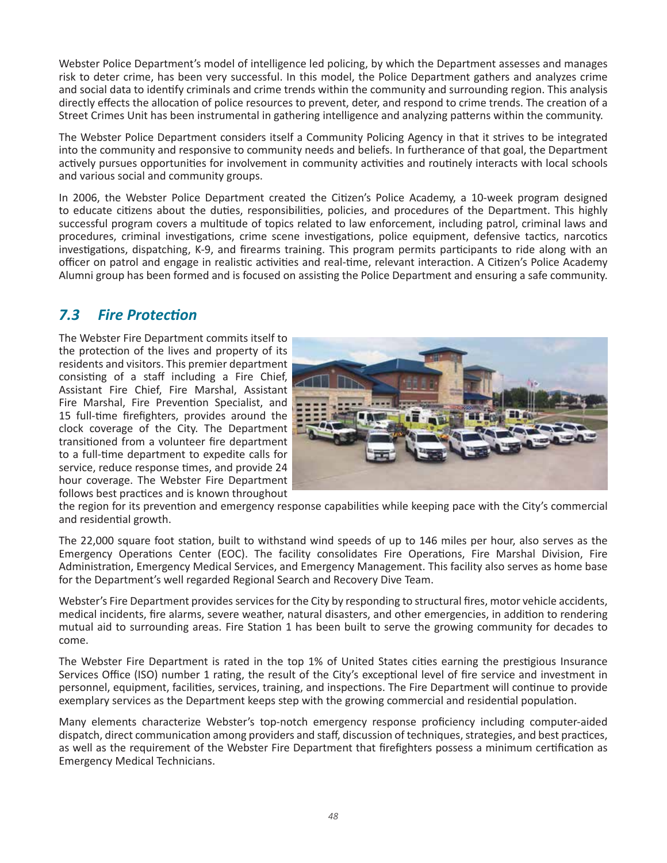Webster Police Department's model of intelligence led policing, by which the Department assesses and manages risk to deter crime, has been very successful. In this model, the Police Department gathers and analyzes crime and social data to identify criminals and crime trends within the community and surrounding region. This analysis directly effects the allocation of police resources to prevent, deter, and respond to crime trends. The creation of a Street Crimes Unit has been instrumental in gathering intelligence and analyzing patterns within the community.

The Webster Police Department considers itself a Community Policing Agency in that it strives to be integrated into the community and responsive to community needs and beliefs. In furtherance of that goal, the Department actively pursues opportunities for involvement in community activities and routinely interacts with local schools and various social and community groups.

In 2006, the Webster Police Department created the Citizen's Police Academy, a 10-week program designed to educate citizens about the duties, responsibilities, policies, and procedures of the Department. This highly successful program covers a multitude of topics related to law enforcement, including patrol, criminal laws and procedures, criminal investigations, crime scene investigations, police equipment, defensive tactics, narcotics investigations, dispatching, K-9, and firearms training. This program permits participants to ride along with an officer on patrol and engage in realistic activities and real-time, relevant interaction. A Citizen's Police Academy Alumni group has been formed and is focused on assisting the Police Department and ensuring a safe community.

# *7.3 Fire Protection*

The Webster Fire Department commits itself to the protection of the lives and property of its residents and visitors. This premier department consisting of a staff including a Fire Chief, Assistant Fire Chief, Fire Marshal, Assistant Fire Marshal, Fire Prevention Specialist, and 15 full-time firefighters, provides around the clock coverage of the City. The Department transitioned from a volunteer fire department to a full-time department to expedite calls for service, reduce response times, and provide 24 hour coverage. The Webster Fire Department follows best practices and is known throughout



the region for its prevention and emergency response capabilities while keeping pace with the City's commercial and residential growth.

The 22,000 square foot station, built to withstand wind speeds of up to 146 miles per hour, also serves as the Emergency Operations Center (EOC). The facility consolidates Fire Operations, Fire Marshal Division, Fire Administration, Emergency Medical Services, and Emergency Management. This facility also serves as home base for the Department's well regarded Regional Search and Recovery Dive Team.

Webster's Fire Department provides services for the City by responding to structural fires, motor vehicle accidents, medical incidents, fire alarms, severe weather, natural disasters, and other emergencies, in addition to rendering mutual aid to surrounding areas. Fire Station 1 has been built to serve the growing community for decades to come.

The Webster Fire Department is rated in the top 1% of United States cities earning the prestigious Insurance Services Office (ISO) number 1 rating, the result of the City's exceptional level of fire service and investment in personnel, equipment, facilities, services, training, and inspections. The Fire Department will continue to provide exemplary services as the Department keeps step with the growing commercial and residential population.

Many elements characterize Webster's top-notch emergency response proficiency including computer-aided dispatch, direct communication among providers and staff, discussion of techniques, strategies, and best practices, as well as the requirement of the Webster Fire Department that firefighters possess a minimum certification as Emergency Medical Technicians.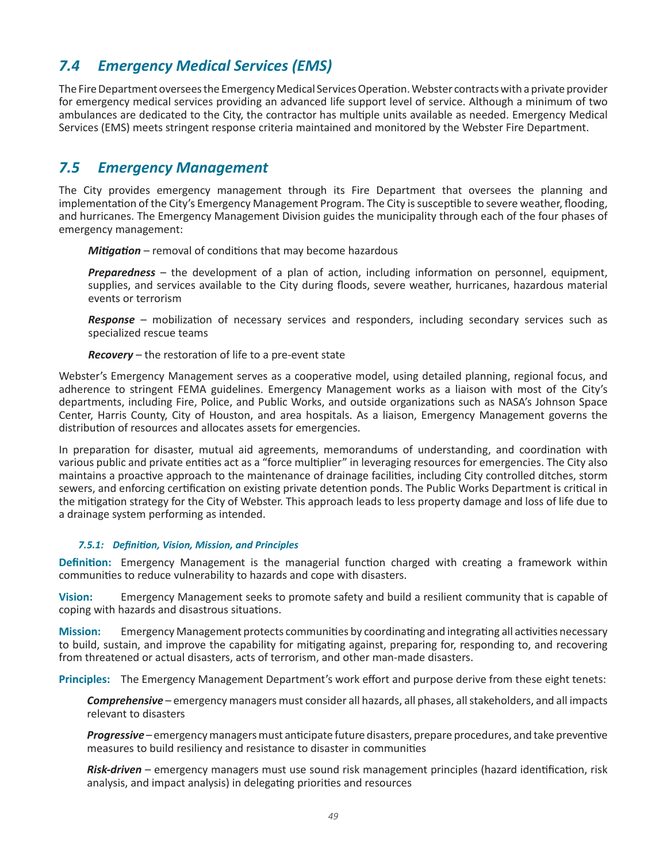# *7.4 Emergency Medical Services (EMS)*

The Fire Department oversees the Emergency Medical Services Operation. Webster contracts with a private provider for emergency medical services providing an advanced life support level of service. Although a minimum of two ambulances are dedicated to the City, the contractor has multiple units available as needed. Emergency Medical Services (EMS) meets stringent response criteria maintained and monitored by the Webster Fire Department.

# *7.5 Emergency Management*

The City provides emergency management through its Fire Department that oversees the planning and implementation of the City's Emergency Management Program. The City is susceptible to severe weather, flooding, and hurricanes. The Emergency Management Division guides the municipality through each of the four phases of emergency management:

*Mitigation* – removal of conditions that may become hazardous

*Preparedness* – the development of a plan of action, including information on personnel, equipment, supplies, and services available to the City during floods, severe weather, hurricanes, hazardous material events or terrorism

*Response* – mobilization of necessary services and responders, including secondary services such as specialized rescue teams

*Recovery* – the restoration of life to a pre-event state

Webster's Emergency Management serves as a cooperative model, using detailed planning, regional focus, and adherence to stringent FEMA guidelines. Emergency Management works as a liaison with most of the City's departments, including Fire, Police, and Public Works, and outside organizations such as NASA's Johnson Space Center, Harris County, City of Houston, and area hospitals. As a liaison, Emergency Management governs the distribution of resources and allocates assets for emergencies.

In preparation for disaster, mutual aid agreements, memorandums of understanding, and coordination with various public and private entities act as a "force multiplier" in leveraging resources for emergencies. The City also maintains a proactive approach to the maintenance of drainage facilities, including City controlled ditches, storm sewers, and enforcing certification on existing private detention ponds. The Public Works Department is critical in the mitigation strategy for the City of Webster. This approach leads to less property damage and loss of life due to a drainage system performing as intended.

#### *7.5.1: Definition, Vision, Mission, and Principles*

**Definition:** Emergency Management is the managerial function charged with creating a framework within communities to reduce vulnerability to hazards and cope with disasters.

**Vision:** Emergency Management seeks to promote safety and build a resilient community that is capable of coping with hazards and disastrous situations.

**Mission:** Emergency Management protects communities by coordinating and integrating all activities necessary to build, sustain, and improve the capability for mitigating against, preparing for, responding to, and recovering from threatened or actual disasters, acts of terrorism, and other man-made disasters.

**Principles:** The Emergency Management Department's work effort and purpose derive from these eight tenets:

*Comprehensive* – emergency managers must consider all hazards, all phases, all stakeholders, and all impacts relevant to disasters

*Progressive* – emergency managers must anticipate future disasters, prepare procedures, and take preventive measures to build resiliency and resistance to disaster in communities

*Risk-driven* – emergency managers must use sound risk management principles (hazard identification, risk analysis, and impact analysis) in delegating priorities and resources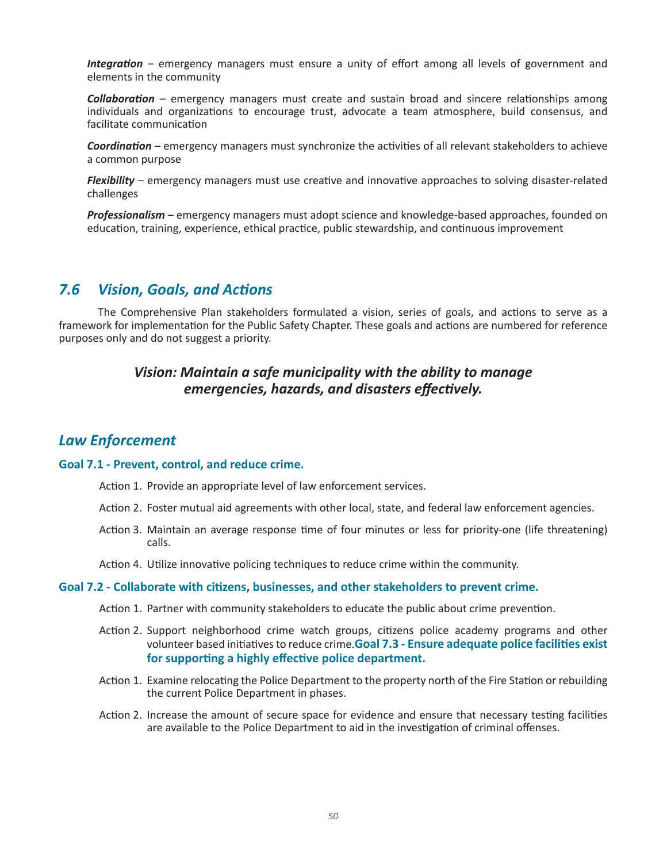*Integration* – emergency managers must ensure a unity of effort among all levels of government and elements in the community

*Collaboration* – emergency managers must create and sustain broad and sincere relationships among individuals and organizations to encourage trust, advocate a team atmosphere, build consensus, and facilitate communication

*Coordination* – emergency managers must synchronize the activities of all relevant stakeholders to achieve a common purpose

*Flexibility* – emergency managers must use creative and innovative approaches to solving disaster-related challenges

*Professionalism* – emergency managers must adopt science and knowledge-based approaches, founded on education, training, experience, ethical practice, public stewardship, and continuous improvement

## *7.6 Vision, Goals, and Actions*

The Comprehensive Plan stakeholders formulated a vision, series of goals, and actions to serve as a framework for implementation for the Public Safety Chapter. These goals and actions are numbered for reference purposes only and do not suggest a priority.

## *Vision: Maintain a safe municipality with the ability to manage emergencies, hazards, and disasters effectively.*

## *Law Enforcement*

#### **Goal 7.1 - Prevent, control, and reduce crime.**

- Action 1. Provide an appropriate level of law enforcement services.
- Action 2. Foster mutual aid agreements with other local, state, and federal law enforcement agencies.
- Action 3. Maintain an average response time of four minutes or less for priority-one (life threatening) calls.
- Action 4. Utilize innovative policing techniques to reduce crime within the community.

#### **Goal 7.2 - Collaborate with citizens, businesses, and other stakeholders to prevent crime.**

- Action 1. Partner with community stakeholders to educate the public about crime prevention.
- Action 2. Support neighborhood crime watch groups, citizens police academy programs and other volunteer based initiatives to reduce crime.**Goal 7.3 - Ensure adequate police facilities exist for supporting a highly effective police department.**
- Action 1. Examine relocating the Police Department to the property north of the Fire Station or rebuilding the current Police Department in phases.
- Action 2. Increase the amount of secure space for evidence and ensure that necessary testing facilities are available to the Police Department to aid in the investigation of criminal offenses.